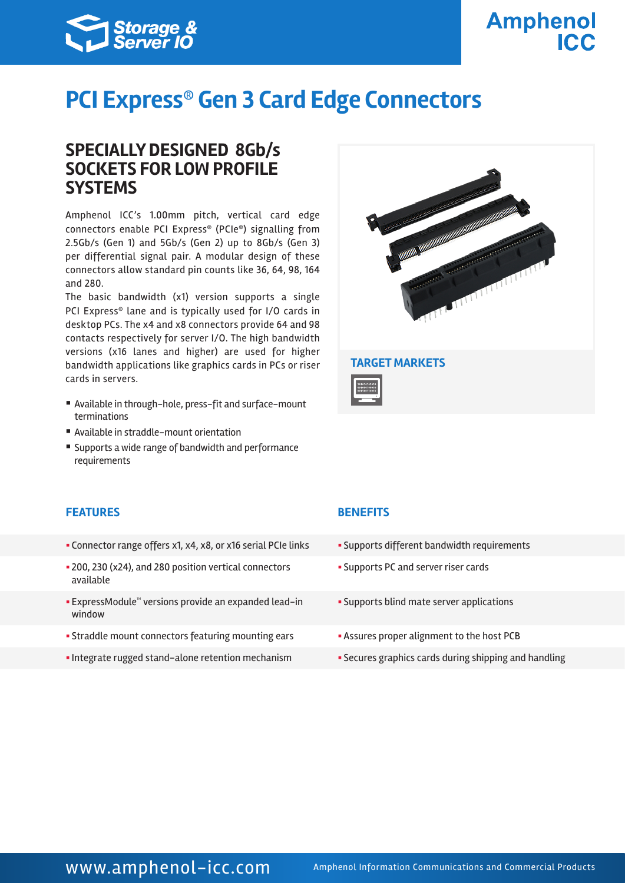

# **PCI Express® Gen 3 Card Edge Connectors**

### **SPECIALLY DESIGNED 8Gb/s SOCKETS FOR LOW PROFILE SYSTEMS**

Amphenol ICC's 1.00mm pitch, vertical card edge connectors enable PCI Express® (PCIe®) signalling from 2.5Gb/s (Gen 1) and 5Gb/s (Gen 2) up to 8Gb/s (Gen 3) per differential signal pair. A modular design of these connectors allow standard pin counts like 36, 64, 98, 164 and 280.

The basic bandwidth (x1) version supports a single PCI Express® lane and is typically used for I/O cards in desktop PCs. The x4 and x8 connectors provide 64 and 98 contacts respectively for server I/O. The high bandwidth versions (x16 lanes and higher) are used for higher bandwidth applications like graphics cards in PCs or riser cards in servers.

- § Available in through-hole, press-fit and surface-mount terminations
- Available in straddle-mount orientation
- Supports a wide range of bandwidth and performance requirements



### **FEATURES BENEFITS**

- Connector range offers x1, x4, x8, or x16 serial PCIe links Supports different bandwidth requirements
- § 200, 230 (x24), and 280 position vertical connectors available
- ExpressModule™ versions provide an expanded lead-in window
- Straddle mount connectors featuring mounting ears **•** Assures proper alignment to the host PCB
- Integrate rugged stand-alone retention mechanism Secures graphics cards during shipping and handling

- 
- § Supports PC and server riser cards
- § Supports blind mate server applications
- 
-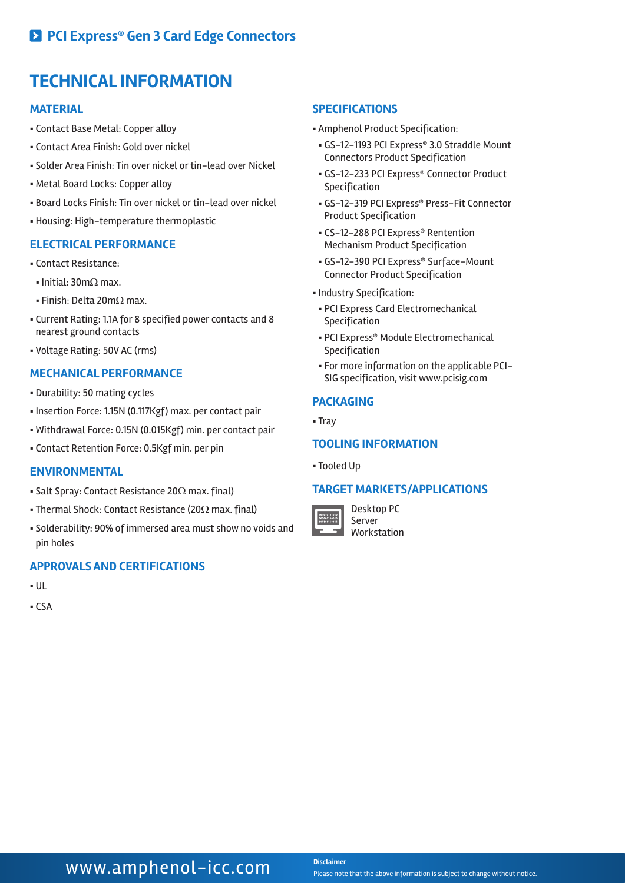## **TECHNICAL INFORMATION**

#### **MATERIAL**

- § Contact Base Metal: Copper alloy
- § Contact Area Finish: Gold over nickel
- § Solder Area Finish: Tin over nickel or tin-lead over Nickel
- § Metal Board Locks: Copper alloy
- § Board Locks Finish: Tin over nickel or tin-lead over nickel
- § Housing: High-temperature thermoplastic

#### **ELECTRICAL PERFORMANCE**

- § Contact Resistance:
- Initial: 30mΩ max.
- Finish: Delta 20mΩ max.
- § Current Rating: 1.1A for 8 specified power contacts and 8 nearest ground contacts
- § Voltage Rating: 50V AC (rms)

### **MECHANICAL PERFORMANCE**

- § Durability: 50 mating cycles
- § Insertion Force: 1.15N (0.117Kgf) max. per contact pair
- § Withdrawal Force: 0.15N (0.015Kgf) min. per contact pair
- § Contact Retention Force: 0.5Kgf min. per pin

#### **ENVIRONMENTAL**

- Salt Spray: Contact Resistance 20Ω max. final)
- Thermal Shock: Contact Resistance (20Ω max. final)
- § Solderability: 90% of immersed area must show no voids and pin holes

#### **APPROVALS AND CERTIFICATIONS**

- § UL
- § CSA

#### **SPECIFICATIONS**

- § Amphenol Product Specification:
- § GS-12-1193 PCI Express® 3.0 Straddle Mount Connectors Product Specification
- § GS-12-233 PCI Express® Connector Product Specification
- § GS-12-319 PCI Express® Press-Fit Connector Product Specification
- § CS-12-288 PCI Express® Rentention Mechanism Product Specification
- § GS-12-390 PCI Express® Surface-Mount Connector Product Specification
- § Industry Specification:
- § PCI Express Card Electromechanical Specification
- § PCI Express® Module Electromechanical Specification
- § For more information on the applicable PCI-SIG specification, visit www.pcisig.com

#### **PACKAGING**

§ Tray

#### **TOOLING INFORMATION**

§ Tooled Up

#### **TARGET MARKETS/APPLICATIONS**



Desktop PC Server Workstation

### **WWW.amphenol-icc.com** Disclaimer

Please note that the above information is subject to change without notice.